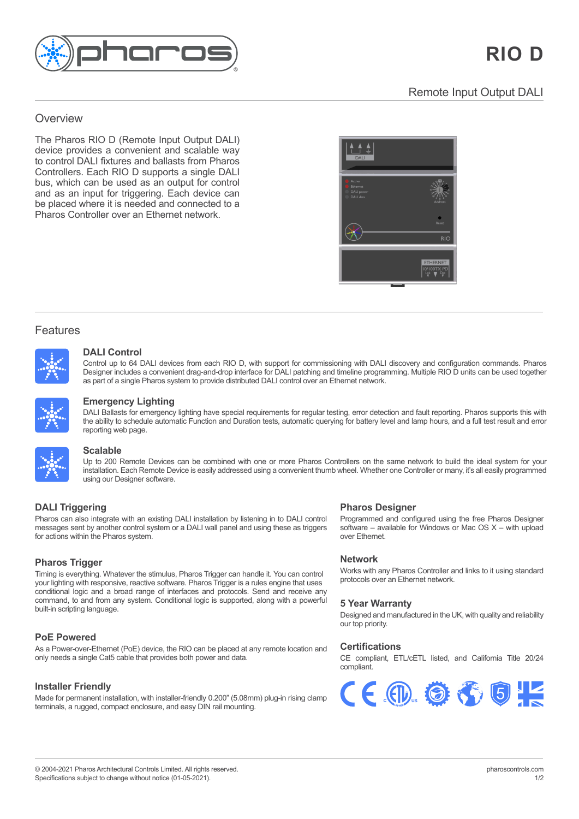

## Overview **Overview** an award-winning, all-in-one control solution for

<u>overviewe ver</u>

The Pharos RIO D (Remote Input Output DALI) device provides a convenient and scalable way to control DALI fixtures and ballasts from Pharos Controllers. Each RIO D supports a single DALI customisable pre-programmed lighting effects bus, which can be used as an output for control bus, which can be used as an output for control and as an input for triggering. Each device can and do an input for alggoring. Eddit do too can<br>be placed where it is needed and connected to a integration features. Pharos Controller over an Ethernet network. Pharos Controller over an Ethernet network.



# Features

Features and the second



#### $t_{\rm max}$  and scenes, fully customisable pre-programmed lighting dynamic, pre-programmed lighting  $\alpha$ real-time manual overrides, flexible multi-zone control, prioritisation and more. **DALI Control** Designer includes a convenient drag-and-drop interface for DALI patching and timeline programming. Multiple RIO D units can be used

Designer includes a convenient drag-and-drop interface for DALI patching and timeline programming. Multiple RIO D units can be used together<br>ca nert of a single Pharce austem to nravide distributed DALI sentrel aver an Eth as part of a single Pharos system to provide distributed DALI control over an Ethernet network. Control up to 64 DALI devices from each RIO D, with support for commissioning with DALI discovery and configuration commands. Pharos



#### visually striking effects or play video across the entire array. Powerful controls allow you to build maps fast with pixel-precise adjustment. **Emergency Lighting different views of your installation.** the ability to schedule automatic Function and Duration and Duration and lamp hours, and a function  $\eta$

**Pharos Trigger** the ability to schedule automatic Function and Duration tests, automatic querying for battery level and lamp hours, and a full test result and error **Scalable** Timing is everything. The stimulus, Pharos Trigger can have stimulus, Pharos Trigger can control you can control you can control you can control you can control you can control you can control you can control you can contr DALI Ballasts for emergency lighting have special requirements for regular testing, error detection and fault reporting. Pharos supports this with reporting web page. Up to 200 Remote Devices can be combined with one or more Pharos Controllers on the same network to build the ideal system for your



#### and from any system. Conditional logic is supported, along with a powerful built-in scripting language for unlimited flexibility. The powerful built-in scripting language for unlimited flexibility. The powerful built-in sc **Scalable** programmed using our Designer software.

 $\mathcal{L}$  right fit for every installation. Multiple Pharos Controllers can be search can be search can be seen as  $\mathcal{L}$ **Pharmalation. Each Remote Device is easily addressed using a convenient thumb wheel. Whether one Controller or many, it's all easily programmed using a using our Designer software.** Up to 200 Remote Devices can be combined with one or more Pharos Controllers on the same network to build the ideal system for your **Pharmon also integrate with an existing our Designer software.** What is the property in the UALI control in the UA

#### **DALI Triggering** When  $C$  is all easily programmed using our Designer software. It is also because  $C$ **DALI Triggering Community Community Community Community Pharos Designer**

messages<br><sup>for ootione</sub></sup> for actions within the Pharos system. Pharos can also integrate with an existing DALI installation by listening in to DALI control **Pharos Trigger** messages sent by another control system or a DALI wall panel and using these as triggers

### protocols at the same time. No other system gives you this level of flexibility and control **Pharos Trigger**

your lighting with responsive; redeave sentitiated: That be higger to a rate origine that dece command, to and from any system. Conditional logic is supported, along with a powerful built-in scripting language. The manage of your installation. The set of your installer Friendly manage of your installation. The set of your installation. The set of your installation. In the set of your installer install  $T_{\text{max}}$  in web server lets you check the Controller's status, trigger's status, trigger's status, trigger's status, trigger's status, trigger's status, trigger's status, trigger's status, trigger's status, trigger's sta Timing is everything. Whatever the stimulus, Pharos Trigger can handle it. You can control **PoE Powered** your lighting with responsive, reactive software. Pharos Trigger is a rules engine that uses

## **PoE Powered**

**Custom Interfaces** As a Power-over-Ethernet (PoE) device, the RIO can be placed at any remote location and Create a custom web interface for your installation that gives your users the control they only needs a single Cat5 cable that provides both power and data. need and the look the local there is no built-in web server supports and the series.

## **Installer Friendly**

Made for permanent installation, with installer-friendly 0.200" (5.08mm) plug-in rising clamp terminals, a rugged, compact enclosure, and easy DIN rail mounting.

**Reliable School and configured using the free Pharos Designer** Programmed and configured using the free Pharos Designer Frogrammed and configured using the fire Friatos Designer<br>software – available for Windows or Mac OS X – with upload<br>even Ethernet  $\sigma$  and  $\sigma$  and  $\sigma$  and  $\sigma$  24/77  $\sigma$  24/77  $\sigma$  24/77  $\sigma$  24/77  $\sigma$  24/77  $\sigma$  24/77  $\sigma$  24/77  $\sigma$  24/77  $\sigma$  24/77  $\sigma$  24/77  $\sigma$  24/77  $\sigma$  24/77  $\sigma$  24/77  $\sigma$  24/77  $\sigma$  24/77  $\sigma$  24/77  $\sigma$  24/77  $\sigma$  24 over Ethernet.

## **Network**

**Installer Friendly**<br>Works with any Pharos Controller and links to it using standard protocols over an Ethernet network.

# **5 Year Warranty 5 Year Warranty** compliant.

Designed and manufactured in the UK, with quality and Designed and manufactured in the UK, with quality and reliability our top priority.

## **Certifications Certifications**

CE compliant, ETL/cETL listed, and California Title 20/24 CE compliant, ETL/cETL listed, and California Title 20/24 compliant. compliant.